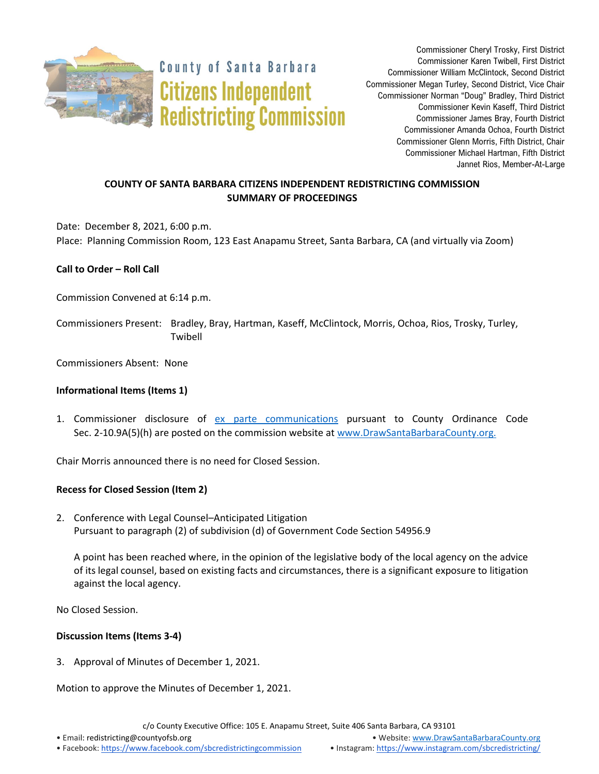

**County of Santa Barbara Citizens Independent Redistricting Commission** 

Commissioner Cheryl Trosky, First District Commissioner Karen Twibell, First District Commissioner William McClintock, Second District Commissioner Megan Turley, Second District, Vice Chair Commissioner Norman "Doug" Bradley, Third District Commissioner Kevin Kaseff, Third District Commissioner James Bray, Fourth District Commissioner Amanda Ochoa, Fourth District Commissioner Glenn Morris, Fifth District, Chair Commissioner Michael Hartman, Fifth District Jannet Rios, Member-At-Large

# **COUNTY OF SANTA BARBARA CITIZENS INDEPENDENT REDISTRICTING COMMISSION SUMMARY OF PROCEEDINGS**

Date: December 8, 2021, 6:00 p.m. Place: Planning Commission Room, 123 East Anapamu Street, Santa Barbara, CA (and virtually via Zoom)

## **Call to Order – Roll Call**

Commission Convened at 6:14 p.m.

Commissioners Present: Bradley, Bray, Hartman, Kaseff, McClintock, Morris, Ochoa, Rios, Trosky, Turley, Twibell

Commissioners Absent: None

#### **Informational Items (Items 1)**

1. Commissioner disclosure of [ex parte communications](https://docs.google.com/spreadsheets/d/1zGO1NmeO_y9ohV2vMMFAtu6b3rVpIXViVtRool9dmBg/edit?usp=drive_web) pursuant to County Ordinance Code Sec. 2-10.9A(5)(h) are posted on the commission website a[t www.DrawSantaBarbaraCounty.org.](https://drawsantabarbaracounty.org/)

Chair Morris announced there is no need for Closed Session.

#### **Recess for Closed Session (Item 2)**

2. Conference with Legal Counsel–Anticipated Litigation Pursuant to paragraph (2) of subdivision (d) of Government Code Section 54956.9

A point has been reached where, in the opinion of the legislative body of the local agency on the advice of its legal counsel, based on existing facts and circumstances, there is a significant exposure to litigation against the local agency.

No Closed Session.

#### **Discussion Items (Items 3-4)**

3. Approval of Minutes of December 1, 2021.

Motion to approve the Minutes of December 1, 2021.

c/o County Executive Office: 105 E. Anapamu Street, Suite 406 Santa Barbara, CA 93101

• Email[: redistricting@countyofsb.org](mailto:redistricting@countyofsb.org) • Website: [www.DrawSantaBarbaraCounty.org](http://www.drawsantabarbaracounty.org/)

• Facebook: <https://www.facebook.com/sbcredistrictingcommission> • Instagram: <https://www.instagram.com/sbcredistricting/>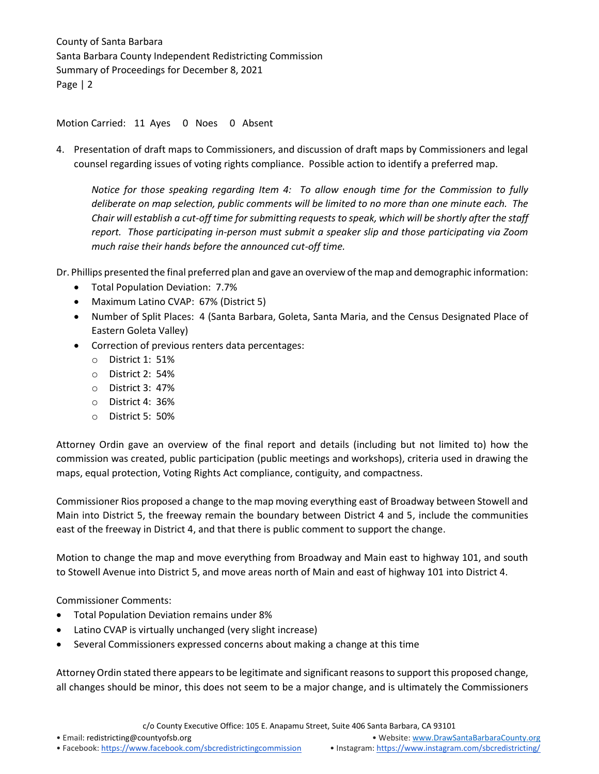Motion Carried: 11 Ayes 0 Noes 0 Absent

4. Presentation of draft maps to Commissioners, and discussion of draft maps by Commissioners and legal counsel regarding issues of voting rights compliance. Possible action to identify a preferred map.

*Notice for those speaking regarding Item 4: To allow enough time for the Commission to fully deliberate on map selection, public comments will be limited to no more than one minute each. The Chair will establish a cut-off time for submitting requests to speak, which will be shortly after the staff report. Those participating in-person must submit a speaker slip and those participating via Zoom much raise their hands before the announced cut-off time.*

Dr. Phillips presented the final preferred plan and gave an overview of the map and demographic information:

- Total Population Deviation: 7.7%
- Maximum Latino CVAP: 67% (District 5)
- Number of Split Places: 4 (Santa Barbara, Goleta, Santa Maria, and the Census Designated Place of Eastern Goleta Valley)
- Correction of previous renters data percentages:
	- o District 1: 51%
	- o District 2: 54%
	- o District 3: 47%
	- o District 4: 36%
	- o District 5: 50%

Attorney Ordin gave an overview of the final report and details (including but not limited to) how the commission was created, public participation (public meetings and workshops), criteria used in drawing the maps, equal protection, Voting Rights Act compliance, contiguity, and compactness.

Commissioner Rios proposed a change to the map moving everything east of Broadway between Stowell and Main into District 5, the freeway remain the boundary between District 4 and 5, include the communities east of the freeway in District 4, and that there is public comment to support the change.

Motion to change the map and move everything from Broadway and Main east to highway 101, and south to Stowell Avenue into District 5, and move areas north of Main and east of highway 101 into District 4.

Commissioner Comments:

- Total Population Deviation remains under 8%
- Latino CVAP is virtually unchanged (very slight increase)
- Several Commissioners expressed concerns about making a change at this time

Attorney Ordin stated there appears to be legitimate and significant reasonsto support this proposed change, all changes should be minor, this does not seem to be a major change, and is ultimately the Commissioners

c/o County Executive Office: 105 E. Anapamu Street, Suite 406 Santa Barbara, CA 93101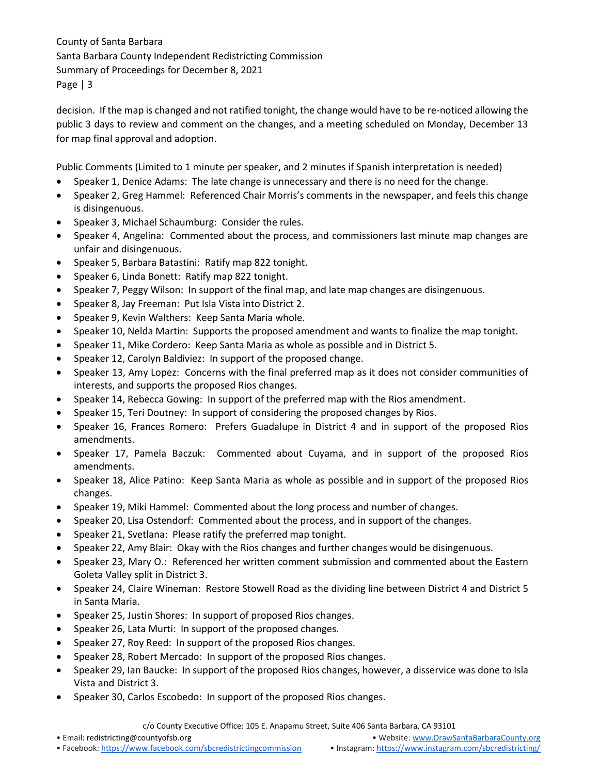decision. If the map is changed and not ratified tonight, the change would have to be re-noticed allowing the public 3 days to review and comment on the changes, and a meeting scheduled on Monday, December 13 for map final approval and adoption.

Public Comments (Limited to 1 minute per speaker, and 2 minutes if Spanish interpretation is needed)

- Speaker 1, Denice Adams: The late change is unnecessary and there is no need for the change.
- Speaker 2, Greg Hammel: Referenced Chair Morris's comments in the newspaper, and feels this change is disingenuous.
- Speaker 3, Michael Schaumburg: Consider the rules.
- Speaker 4, Angelina: Commented about the process, and commissioners last minute map changes are unfair and disingenuous.
- Speaker 5, Barbara Batastini: Ratify map 822 tonight.
- Speaker 6, Linda Bonett: Ratify map 822 tonight.
- Speaker 7, Peggy Wilson: In support of the final map, and late map changes are disingenuous.
- Speaker 8, Jay Freeman: Put Isla Vista into District 2.
- Speaker 9, Kevin Walthers: Keep Santa Maria whole.
- Speaker 10, Nelda Martin: Supports the proposed amendment and wants to finalize the map tonight.
- Speaker 11, Mike Cordero: Keep Santa Maria as whole as possible and in District 5.
- Speaker 12, Carolyn Baldiviez: In support of the proposed change.
- Speaker 13, Amy Lopez: Concerns with the final preferred map as it does not consider communities of interests, and supports the proposed Rios changes.
- Speaker 14, Rebecca Gowing: In support of the preferred map with the Rios amendment.
- Speaker 15, Teri Doutney: In support of considering the proposed changes by Rios.
- Speaker 16, Frances Romero: Prefers Guadalupe in District 4 and in support of the proposed Rios amendments.
- Speaker 17, Pamela Baczuk: Commented about Cuyama, and in support of the proposed Rios amendments.
- Speaker 18, Alice Patino: Keep Santa Maria as whole as possible and in support of the proposed Rios changes.
- Speaker 19, Miki Hammel: Commented about the long process and number of changes.
- Speaker 20, Lisa Ostendorf: Commented about the process, and in support of the changes.
- Speaker 21, Svetlana: Please ratify the preferred map tonight.
- Speaker 22, Amy Blair: Okay with the Rios changes and further changes would be disingenuous.
- Speaker 23, Mary O.: Referenced her written comment submission and commented about the Eastern Goleta Valley split in District 3.
- Speaker 24, Claire Wineman: Restore Stowell Road as the dividing line between District 4 and District 5 in Santa Maria.
- Speaker 25, Justin Shores: In support of proposed Rios changes.
- Speaker 26, Lata Murti: In support of the proposed changes.
- Speaker 27, Roy Reed: In support of the proposed Rios changes.
- Speaker 28, Robert Mercado: In support of the proposed Rios changes.
- Speaker 29, Ian Baucke: In support of the proposed Rios changes, however, a disservice was done to Isla Vista and District 3.
- Speaker 30, Carlos Escobedo: In support of the proposed Rios changes.

c/o County Executive Office: 105 E. Anapamu Street, Suite 406 Santa Barbara, CA 93101

• Email[: redistricting@countyofsb.org](mailto:redistricting@countyofsb.org) • Website: [www.DrawSantaBarbaraCounty.org](http://www.drawsantabarbaracounty.org/)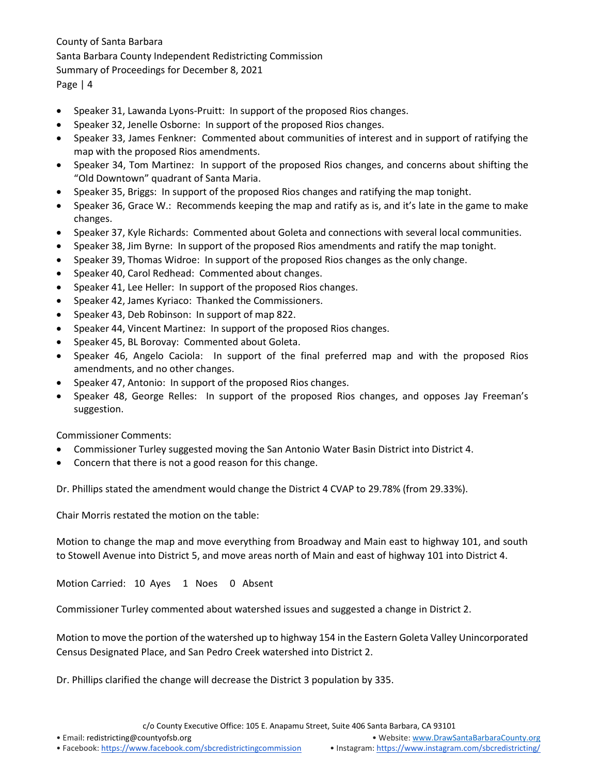- Speaker 31, Lawanda Lyons-Pruitt: In support of the proposed Rios changes.
- Speaker 32, Jenelle Osborne: In support of the proposed Rios changes.
- Speaker 33, James Fenkner: Commented about communities of interest and in support of ratifying the map with the proposed Rios amendments.
- Speaker 34, Tom Martinez: In support of the proposed Rios changes, and concerns about shifting the "Old Downtown" quadrant of Santa Maria.
- Speaker 35, Briggs: In support of the proposed Rios changes and ratifying the map tonight.
- Speaker 36, Grace W.: Recommends keeping the map and ratify as is, and it's late in the game to make changes.
- Speaker 37, Kyle Richards: Commented about Goleta and connections with several local communities.
- Speaker 38, Jim Byrne: In support of the proposed Rios amendments and ratify the map tonight.
- Speaker 39, Thomas Widroe: In support of the proposed Rios changes as the only change.
- Speaker 40, Carol Redhead: Commented about changes.
- Speaker 41, Lee Heller: In support of the proposed Rios changes.
- Speaker 42, James Kyriaco: Thanked the Commissioners.
- Speaker 43, Deb Robinson: In support of map 822.
- Speaker 44, Vincent Martinez: In support of the proposed Rios changes.
- Speaker 45, BL Borovay: Commented about Goleta.
- Speaker 46, Angelo Caciola: In support of the final preferred map and with the proposed Rios amendments, and no other changes.
- Speaker 47, Antonio: In support of the proposed Rios changes.
- Speaker 48, George Relles: In support of the proposed Rios changes, and opposes Jay Freeman's suggestion.

Commissioner Comments:

- Commissioner Turley suggested moving the San Antonio Water Basin District into District 4.
- Concern that there is not a good reason for this change.

Dr. Phillips stated the amendment would change the District 4 CVAP to 29.78% (from 29.33%).

Chair Morris restated the motion on the table:

Motion to change the map and move everything from Broadway and Main east to highway 101, and south to Stowell Avenue into District 5, and move areas north of Main and east of highway 101 into District 4.

Motion Carried: 10 Ayes 1 Noes 0 Absent

Commissioner Turley commented about watershed issues and suggested a change in District 2.

Motion to move the portion of the watershed up to highway 154 in the Eastern Goleta Valley Unincorporated Census Designated Place, and San Pedro Creek watershed into District 2.

Dr. Phillips clarified the change will decrease the District 3 population by 335.

c/o County Executive Office: 105 E. Anapamu Street, Suite 406 Santa Barbara, CA 93101

• Email[: redistricting@countyofsb.org](mailto:redistricting@countyofsb.org) • Website: [www.DrawSantaBarbaraCounty.org](http://www.drawsantabarbaracounty.org/)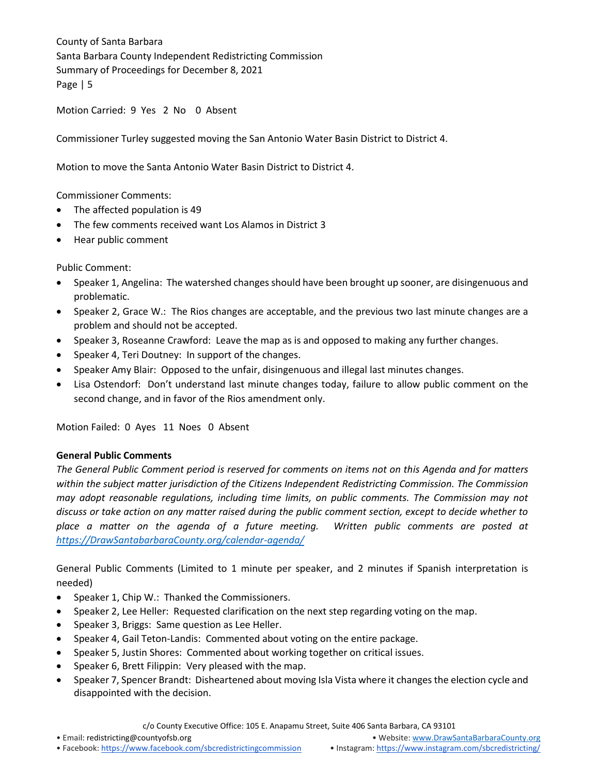Motion Carried: 9 Yes 2 No 0 Absent

Commissioner Turley suggested moving the San Antonio Water Basin District to District 4.

Motion to move the Santa Antonio Water Basin District to District 4.

Commissioner Comments:

- The affected population is 49
- The few comments received want Los Alamos in District 3
- Hear public comment

Public Comment:

- Speaker 1, Angelina: The watershed changes should have been brought up sooner, are disingenuous and problematic.
- Speaker 2, Grace W.: The Rios changes are acceptable, and the previous two last minute changes are a problem and should not be accepted.
- Speaker 3, Roseanne Crawford: Leave the map as is and opposed to making any further changes.
- Speaker 4, Teri Doutney: In support of the changes.
- Speaker Amy Blair: Opposed to the unfair, disingenuous and illegal last minutes changes.
- Lisa Ostendorf: Don't understand last minute changes today, failure to allow public comment on the second change, and in favor of the Rios amendment only.

Motion Failed: 0 Ayes 11 Noes 0 Absent

#### **General Public Comments**

*The General Public Comment period is reserved for comments on items not on this Agenda and for matters within the subject matter jurisdiction of the Citizens Independent Redistricting Commission. The Commission may adopt reasonable regulations, including time limits, on public comments. The Commission may not discuss or take action on any matter raised during the public comment section, except to decide whether to place a matter on the agenda of a future meeting. Written public comments are posted at [https://DrawSantabarbaraCounty.org/calendar-agenda/](https://drawsantabarbaracounty.org/calendar-agenda/)*

General Public Comments (Limited to 1 minute per speaker, and 2 minutes if Spanish interpretation is needed)

- Speaker 1, Chip W.: Thanked the Commissioners.
- Speaker 2, Lee Heller: Requested clarification on the next step regarding voting on the map.
- Speaker 3, Briggs: Same question as Lee Heller.
- Speaker 4, Gail Teton-Landis: Commented about voting on the entire package.
- Speaker 5, Justin Shores: Commented about working together on critical issues.
- Speaker 6, Brett Filippin: Very pleased with the map.
- Speaker 7, Spencer Brandt: Disheartened about moving Isla Vista where it changes the election cycle and disappointed with the decision.

c/o County Executive Office: 105 E. Anapamu Street, Suite 406 Santa Barbara, CA 93101

• Facebook: <https://www.facebook.com/sbcredistrictingcommission> • Instagram: <https://www.instagram.com/sbcredistricting/>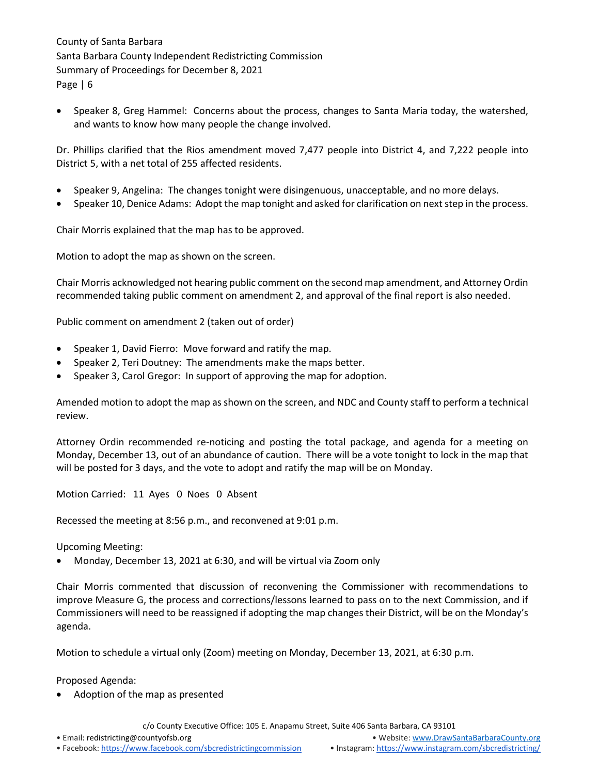• Speaker 8, Greg Hammel: Concerns about the process, changes to Santa Maria today, the watershed, and wants to know how many people the change involved.

Dr. Phillips clarified that the Rios amendment moved 7,477 people into District 4, and 7,222 people into District 5, with a net total of 255 affected residents.

- Speaker 9, Angelina: The changes tonight were disingenuous, unacceptable, and no more delays.
- Speaker 10, Denice Adams: Adopt the map tonight and asked for clarification on next step in the process.

Chair Morris explained that the map has to be approved.

Motion to adopt the map as shown on the screen.

Chair Morris acknowledged not hearing public comment on the second map amendment, and Attorney Ordin recommended taking public comment on amendment 2, and approval of the final report is also needed.

Public comment on amendment 2 (taken out of order)

- Speaker 1, David Fierro: Move forward and ratify the map.
- Speaker 2, Teri Doutney: The amendments make the maps better.
- Speaker 3, Carol Gregor: In support of approving the map for adoption.

Amended motion to adopt the map as shown on the screen, and NDC and County staff to perform a technical review.

Attorney Ordin recommended re-noticing and posting the total package, and agenda for a meeting on Monday, December 13, out of an abundance of caution. There will be a vote tonight to lock in the map that will be posted for 3 days, and the vote to adopt and ratify the map will be on Monday.

Motion Carried: 11 Ayes 0 Noes 0 Absent

Recessed the meeting at 8:56 p.m., and reconvened at 9:01 p.m.

Upcoming Meeting:

• Monday, December 13, 2021 at 6:30, and will be virtual via Zoom only

Chair Morris commented that discussion of reconvening the Commissioner with recommendations to improve Measure G, the process and corrections/lessons learned to pass on to the next Commission, and if Commissioners will need to be reassigned if adopting the map changes their District, will be on the Monday's agenda.

Motion to schedule a virtual only (Zoom) meeting on Monday, December 13, 2021, at 6:30 p.m.

Proposed Agenda:

• Adoption of the map as presented

c/o County Executive Office: 105 E. Anapamu Street, Suite 406 Santa Barbara, CA 93101

• Email[: redistricting@countyofsb.org](mailto:redistricting@countyofsb.org) • Website: [www.DrawSantaBarbaraCounty.org](http://www.drawsantabarbaracounty.org/)